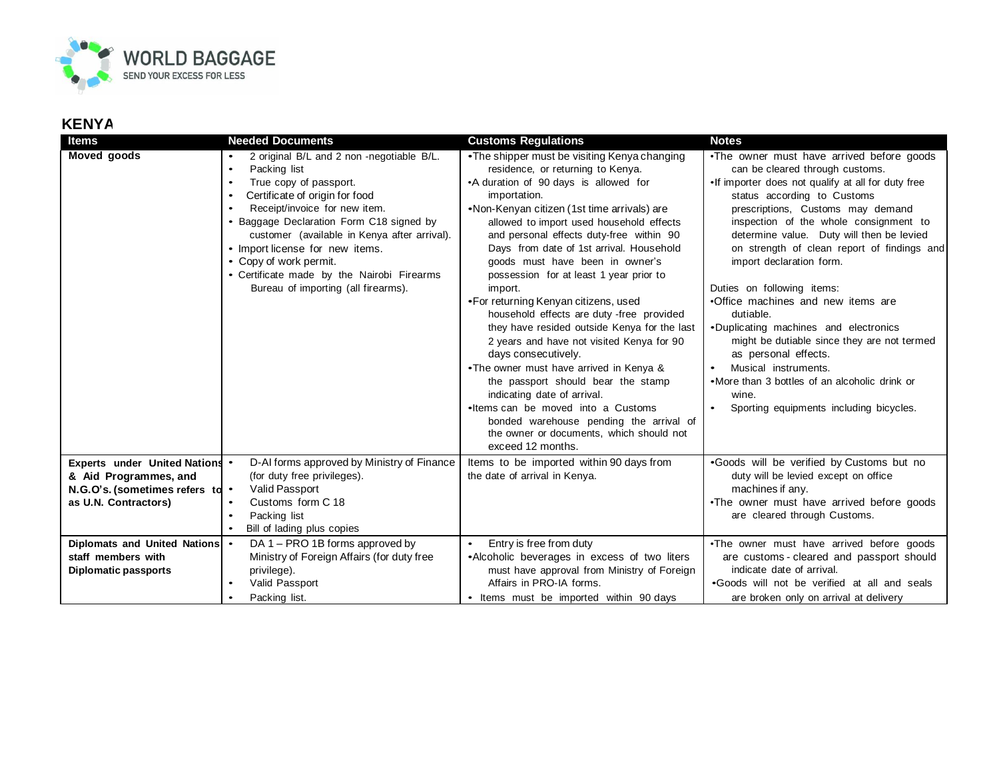

## **KENYA**

| Items                                                                                                              | <b>Needed Documents</b>                                                                                                                                                                                                                                                                                                                                                                                                                                  | <b>Customs Regulations</b>                                                                                                                                                                                                                                                                                                                                                                                                                                                                                                                                                                                                                                                                                                                                                                                                                                                                        | <b>Notes</b>                                                                                                                                                                                                                                                                                                                                                                                                                                                                                                                                                                                                                                                                                             |
|--------------------------------------------------------------------------------------------------------------------|----------------------------------------------------------------------------------------------------------------------------------------------------------------------------------------------------------------------------------------------------------------------------------------------------------------------------------------------------------------------------------------------------------------------------------------------------------|---------------------------------------------------------------------------------------------------------------------------------------------------------------------------------------------------------------------------------------------------------------------------------------------------------------------------------------------------------------------------------------------------------------------------------------------------------------------------------------------------------------------------------------------------------------------------------------------------------------------------------------------------------------------------------------------------------------------------------------------------------------------------------------------------------------------------------------------------------------------------------------------------|----------------------------------------------------------------------------------------------------------------------------------------------------------------------------------------------------------------------------------------------------------------------------------------------------------------------------------------------------------------------------------------------------------------------------------------------------------------------------------------------------------------------------------------------------------------------------------------------------------------------------------------------------------------------------------------------------------|
| Moved goods                                                                                                        | 2 original B/L and 2 non -negotiable B/L.<br>Packing list<br>$\bullet$<br>True copy of passport.<br>$\bullet$<br>Certificate of origin for food<br>$\bullet$<br>Receipt/invoice for new item.<br>$\bullet$<br>• Baggage Declaration Form C18 signed by<br>customer (available in Kenya after arrival).<br>• Import license for new items.<br>• Copy of work permit.<br>• Certificate made by the Nairobi Firearms<br>Bureau of importing (all firearms). | •The shipper must be visiting Kenya changing<br>residence, or returning to Kenya.<br>•A duration of 90 days is allowed for<br>importation.<br>•Non-Kenyan citizen (1st time arrivals) are<br>allowed to import used household effects<br>and personal effects duty-free within 90<br>Days from date of 1st arrival. Household<br>goods must have been in owner's<br>possession for at least 1 year prior to<br>import.<br>•For returning Kenyan citizens, used<br>household effects are duty -free provided<br>they have resided outside Kenya for the last<br>2 years and have not visited Kenya for 90<br>days consecutively.<br>•The owner must have arrived in Kenya &<br>the passport should bear the stamp<br>indicating date of arrival.<br>•Items can be moved into a Customs<br>bonded warehouse pending the arrival of<br>the owner or documents, which should not<br>exceed 12 months. | . The owner must have arrived before goods<br>can be cleared through customs.<br>. If importer does not qualify at all for duty free<br>status according to Customs<br>prescriptions, Customs may demand<br>inspection of the whole consignment to<br>determine value. Duty will then be levied<br>on strength of clean report of findings and<br>import declaration form.<br>Duties on following items:<br>•Office machines and new items are<br>dutiable.<br>.Duplicating machines and electronics<br>might be dutiable since they are not termed<br>as personal effects.<br>Musical instruments.<br>•More than 3 bottles of an alcoholic drink or<br>wine.<br>Sporting equipments including bicycles. |
| Experts under United Nations .<br>& Aid Programmes, and<br>N.G.O's. (sometimes refers to .<br>as U.N. Contractors) | D-AI forms approved by Ministry of Finance<br>(for duty free privileges).<br>Valid Passport<br>Customs form C 18<br>$\bullet$<br>Packing list<br>$\bullet$<br>Bill of lading plus copies                                                                                                                                                                                                                                                                 | Items to be imported within 90 days from<br>the date of arrival in Kenya.                                                                                                                                                                                                                                                                                                                                                                                                                                                                                                                                                                                                                                                                                                                                                                                                                         | .Goods will be verified by Customs but no<br>duty will be levied except on office<br>machines if any.<br>. The owner must have arrived before goods<br>are cleared through Customs.                                                                                                                                                                                                                                                                                                                                                                                                                                                                                                                      |
| Diplomats and United Nations •<br>staff members with<br><b>Diplomatic passports</b>                                | DA 1 - PRO 1B forms approved by<br>Ministry of Foreign Affairs (for duty free<br>privilege).<br>Valid Passport<br>Packing list.                                                                                                                                                                                                                                                                                                                          | Entry is free from duty<br>$\bullet$<br>•Alcoholic beverages in excess of two liters<br>must have approval from Ministry of Foreign<br>Affairs in PRO-IA forms.<br>Items must be imported within 90 days<br>$\bullet$                                                                                                                                                                                                                                                                                                                                                                                                                                                                                                                                                                                                                                                                             | . The owner must have arrived before goods<br>are customs - cleared and passport should<br>indicate date of arrival.<br>.Goods will not be verified at all and seals<br>are broken only on arrival at delivery                                                                                                                                                                                                                                                                                                                                                                                                                                                                                           |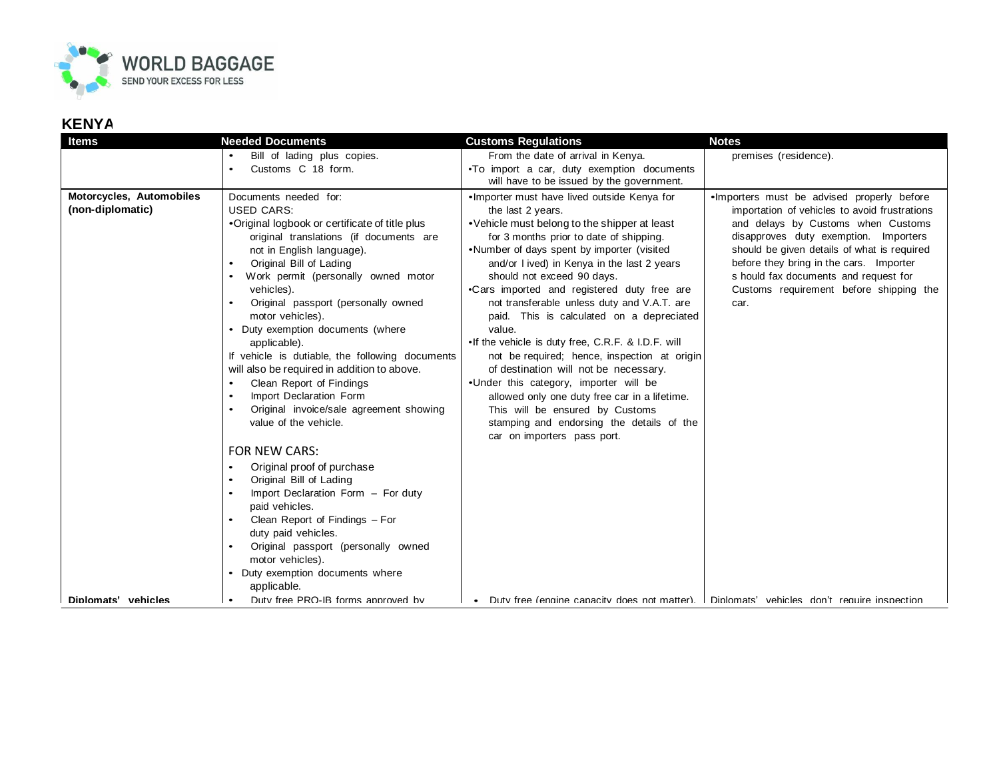

## **KENYA**

| <b>Items</b>                                                        | <b>Needed Documents</b>                                                                                                                                                                                                                                                                                                                                                                                                                                                                                                                                                                                                                                                                                                                                                                                                                                                                                                                                                                                 | <b>Customs Regulations</b>                                                                                                                                                                                                                                                                                                                                                                                                                                                                                                                                                                                                                                                                                                                                                                            | <b>Notes</b>                                                                                                                                                                                                                                                                                                                                                                                                                                                     |
|---------------------------------------------------------------------|---------------------------------------------------------------------------------------------------------------------------------------------------------------------------------------------------------------------------------------------------------------------------------------------------------------------------------------------------------------------------------------------------------------------------------------------------------------------------------------------------------------------------------------------------------------------------------------------------------------------------------------------------------------------------------------------------------------------------------------------------------------------------------------------------------------------------------------------------------------------------------------------------------------------------------------------------------------------------------------------------------|-------------------------------------------------------------------------------------------------------------------------------------------------------------------------------------------------------------------------------------------------------------------------------------------------------------------------------------------------------------------------------------------------------------------------------------------------------------------------------------------------------------------------------------------------------------------------------------------------------------------------------------------------------------------------------------------------------------------------------------------------------------------------------------------------------|------------------------------------------------------------------------------------------------------------------------------------------------------------------------------------------------------------------------------------------------------------------------------------------------------------------------------------------------------------------------------------------------------------------------------------------------------------------|
|                                                                     | Bill of lading plus copies.                                                                                                                                                                                                                                                                                                                                                                                                                                                                                                                                                                                                                                                                                                                                                                                                                                                                                                                                                                             | From the date of arrival in Kenya.                                                                                                                                                                                                                                                                                                                                                                                                                                                                                                                                                                                                                                                                                                                                                                    | premises (residence).                                                                                                                                                                                                                                                                                                                                                                                                                                            |
|                                                                     | Customs C 18 form.                                                                                                                                                                                                                                                                                                                                                                                                                                                                                                                                                                                                                                                                                                                                                                                                                                                                                                                                                                                      | . To import a car, duty exemption documents<br>will have to be issued by the government.                                                                                                                                                                                                                                                                                                                                                                                                                                                                                                                                                                                                                                                                                                              |                                                                                                                                                                                                                                                                                                                                                                                                                                                                  |
| Motorcycles, Automobiles<br>(non-diplomatic)<br>Dinlomats' vehicles | Documents needed for:<br><b>USED CARS:</b><br>•Original logbook or certificate of title plus<br>original translations (if documents are<br>not in English language).<br>Original Bill of Lading<br>$\bullet$<br>Work permit (personally owned motor<br>$\bullet$<br>vehicles).<br>Original passport (personally owned<br>motor vehicles).<br>Duty exemption documents (where<br>applicable).<br>If vehicle is dutiable, the following documents<br>will also be required in addition to above.<br>Clean Report of Findings<br>Import Declaration Form<br>$\bullet$<br>Original invoice/sale agreement showing<br>value of the vehicle.<br><b>FOR NEW CARS:</b><br>Original proof of purchase<br>Original Bill of Lading<br>Import Declaration Form - For duty<br>paid vehicles.<br>Clean Report of Findings - For<br>duty paid vehicles.<br>Original passport (personally owned<br>motor vehicles).<br>Duty exemption documents where<br>applicable.<br>Duty free PRO-IB forms approved by<br>$\bullet$ | ·Importer must have lived outside Kenya for<br>the last 2 years.<br>•Vehicle must belong to the shipper at least<br>for 3 months prior to date of shipping.<br>•Number of days spent by importer (visited<br>and/or I ived) in Kenya in the last 2 years<br>should not exceed 90 days.<br>•Cars imported and registered duty free are<br>not transferable unless duty and V.A.T. are<br>paid. This is calculated on a depreciated<br>value.<br>• If the vehicle is duty free, C.R.F. & I.D.F. will<br>not be required; hence, inspection at origin<br>of destination will not be necessary.<br>.Under this category, importer will be<br>allowed only one duty free car in a lifetime.<br>This will be ensured by Customs<br>stamping and endorsing the details of the<br>car on importers pass port. | . Importers must be advised properly before<br>importation of vehicles to avoid frustrations<br>and delays by Customs when Customs<br>disapproves duty exemption. Importers<br>should be given details of what is required<br>before they bring in the cars. Importer<br>s hould fax documents and request for<br>Customs requirement before shipping the<br>car.<br>Duty free (engine capacity does not matter). I Diplomats' vehicles don't require inspection |